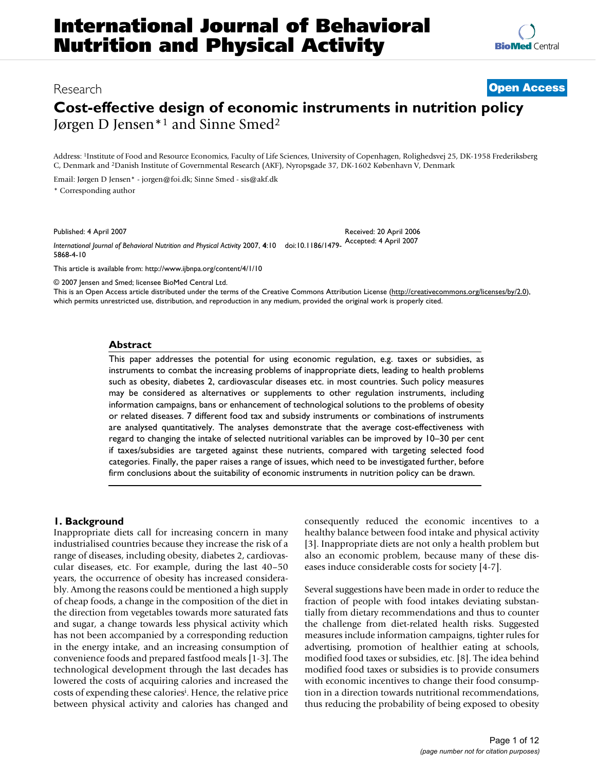# Research **[Open Access](http://www.biomedcentral.com/info/about/charter/)**

# **Cost-effective design of economic instruments in nutrition policy** Jørgen D Jensen\*1 and Sinne Smed2

Address: 1Institute of Food and Resource Economics, Faculty of Life Sciences, University of Copenhagen, Rolighedsvej 25, DK-1958 Frederiksberg C, Denmark and 2Danish Institute of Governmental Research (AKF), Nyropsgade 37, DK-1602 København V, Denmark

Received: 20 April 2006

Email: Jørgen D Jensen\* - jorgen@foi.dk; Sinne Smed - sis@akf.dk

\* Corresponding author

Published: 4 April 2007

*International Journal of Behavioral Nutrition and Physical Activity* 2007, **4**:10 doi:10.1186/1479- Accepted: 4 April 2007 5868-4-10

[This article is available from: http://www.ijbnpa.org/content/4/1/10](http://www.ijbnpa.org/content/4/1/10)

© 2007 Jensen and Smed; licensee BioMed Central Ltd.

This is an Open Access article distributed under the terms of the Creative Commons Attribution License [\(http://creativecommons.org/licenses/by/2.0\)](http://creativecommons.org/licenses/by/2.0), which permits unrestricted use, distribution, and reproduction in any medium, provided the original work is properly cited.

#### **Abstract**

This paper addresses the potential for using economic regulation, e.g. taxes or subsidies, as instruments to combat the increasing problems of inappropriate diets, leading to health problems such as obesity, diabetes 2, cardiovascular diseases etc. in most countries. Such policy measures may be considered as alternatives or supplements to other regulation instruments, including information campaigns, bans or enhancement of technological solutions to the problems of obesity or related diseases. 7 different food tax and subsidy instruments or combinations of instruments are analysed quantitatively. The analyses demonstrate that the average cost-effectiveness with regard to changing the intake of selected nutritional variables can be improved by 10–30 per cent if taxes/subsidies are targeted against these nutrients, compared with targeting selected food categories. Finally, the paper raises a range of issues, which need to be investigated further, before firm conclusions about the suitability of economic instruments in nutrition policy can be drawn.

### **1. Background**

Inappropriate diets call for increasing concern in many industrialised countries because they increase the risk of a range of diseases, including obesity, diabetes 2, cardiovascular diseases, etc. For example, during the last 40–50 years, the occurrence of obesity has increased considerably. Among the reasons could be mentioned a high supply of cheap foods, a change in the composition of the diet in the direction from vegetables towards more saturated fats and sugar, a change towards less physical activity which has not been accompanied by a corresponding reduction in the energy intake, and an increasing consumption of convenience foods and prepared fastfood meals [1-3]. The technological development through the last decades has lowered the costs of acquiring calories and increased the costs of expending these caloriesi . Hence, the relative price between physical activity and calories has changed and consequently reduced the economic incentives to a healthy balance between food intake and physical activity [3]. Inappropriate diets are not only a health problem but also an economic problem, because many of these diseases induce considerable costs for society [4-7].

Several suggestions have been made in order to reduce the fraction of people with food intakes deviating substantially from dietary recommendations and thus to counter the challenge from diet-related health risks. Suggested measures include information campaigns, tighter rules for advertising, promotion of healthier eating at schools, modified food taxes or subsidies, etc. [8]. The idea behind modified food taxes or subsidies is to provide consumers with economic incentives to change their food consumption in a direction towards nutritional recommendations, thus reducing the probability of being exposed to obesity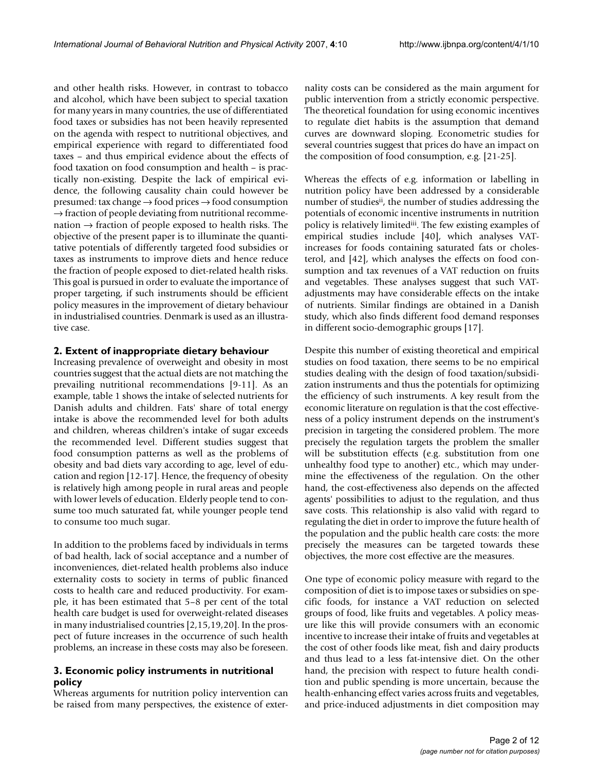and other health risks. However, in contrast to tobacco and alcohol, which have been subject to special taxation for many years in many countries, the use of differentiated food taxes or subsidies has not been heavily represented on the agenda with respect to nutritional objectives, and empirical experience with regard to differentiated food taxes – and thus empirical evidence about the effects of food taxation on food consumption and health – is practically non-existing. Despite the lack of empirical evidence, the following causality chain could however be presumed: tax change → food prices → food consumption  $\rightarrow$  fraction of people deviating from nutritional recommenation  $\rightarrow$  fraction of people exposed to health risks. The objective of the present paper is to illuminate the quantitative potentials of differently targeted food subsidies or taxes as instruments to improve diets and hence reduce the fraction of people exposed to diet-related health risks. This goal is pursued in order to evaluate the importance of proper targeting, if such instruments should be efficient policy measures in the improvement of dietary behaviour in industrialised countries. Denmark is used as an illustrative case.

### **2. Extent of inappropriate dietary behaviour**

Increasing prevalence of overweight and obesity in most countries suggest that the actual diets are not matching the prevailing nutritional recommendations [9-11]. As an example, table 1 shows the intake of selected nutrients for Danish adults and children. Fats' share of total energy intake is above the recommended level for both adults and children, whereas children's intake of sugar exceeds the recommended level. Different studies suggest that food consumption patterns as well as the problems of obesity and bad diets vary according to age, level of education and region [12-17]. Hence, the frequency of obesity is relatively high among people in rural areas and people with lower levels of education. Elderly people tend to consume too much saturated fat, while younger people tend to consume too much sugar.

In addition to the problems faced by individuals in terms of bad health, lack of social acceptance and a number of inconveniences, diet-related health problems also induce externality costs to society in terms of public financed costs to health care and reduced productivity. For example, it has been estimated that 5–8 per cent of the total health care budget is used for overweight-related diseases in many industrialised countries [2,15,19,20]. In the prospect of future increases in the occurrence of such health problems, an increase in these costs may also be foreseen.

### **3. Economic policy instruments in nutritional policy**

Whereas arguments for nutrition policy intervention can be raised from many perspectives, the existence of externality costs can be considered as the main argument for public intervention from a strictly economic perspective. The theoretical foundation for using economic incentives to regulate diet habits is the assumption that demand curves are downward sloping. Econometric studies for several countries suggest that prices do have an impact on the composition of food consumption, e.g. [21-25].

Whereas the effects of e.g. information or labelling in nutrition policy have been addressed by a considerable number of studiesii, the number of studies addressing the potentials of economic incentive instruments in nutrition policy is relatively limitediii. The few existing examples of empirical studies include [40], which analyses VATincreases for foods containing saturated fats or cholesterol, and [42], which analyses the effects on food consumption and tax revenues of a VAT reduction on fruits and vegetables. These analyses suggest that such VATadjustments may have considerable effects on the intake of nutrients. Similar findings are obtained in a Danish study, which also finds different food demand responses in different socio-demographic groups [17].

Despite this number of existing theoretical and empirical studies on food taxation, there seems to be no empirical studies dealing with the design of food taxation/subsidization instruments and thus the potentials for optimizing the efficiency of such instruments. A key result from the economic literature on regulation is that the cost effectiveness of a policy instrument depends on the instrument's precision in targeting the considered problem. The more precisely the regulation targets the problem the smaller will be substitution effects (e.g. substitution from one unhealthy food type to another) etc., which may undermine the effectiveness of the regulation. On the other hand, the cost-effectiveness also depends on the affected agents' possibilities to adjust to the regulation, and thus save costs. This relationship is also valid with regard to regulating the diet in order to improve the future health of the population and the public health care costs: the more precisely the measures can be targeted towards these objectives, the more cost effective are the measures.

One type of economic policy measure with regard to the composition of diet is to impose taxes or subsidies on specific foods, for instance a VAT reduction on selected groups of food, like fruits and vegetables. A policy measure like this will provide consumers with an economic incentive to increase their intake of fruits and vegetables at the cost of other foods like meat, fish and dairy products and thus lead to a less fat-intensive diet. On the other hand, the precision with respect to future health condition and public spending is more uncertain, because the health-enhancing effect varies across fruits and vegetables, and price-induced adjustments in diet composition may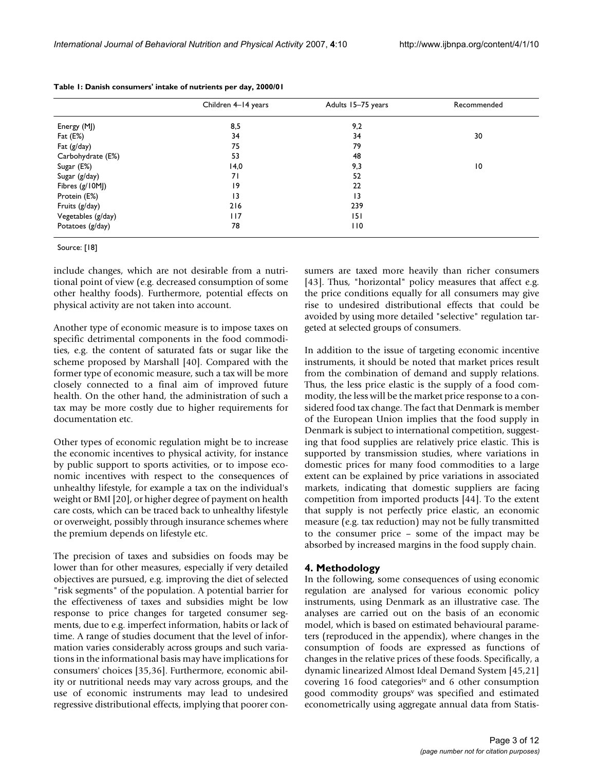|                    | Children 4-14 years | Adults 15-75 years | Recommended    |
|--------------------|---------------------|--------------------|----------------|
| Energy (MJ)        | 8,5                 | 9,2                |                |
| Fat $(E%)$         | 34                  | 34                 | 30             |
| Fat (g/day)        | 75                  | 79                 |                |
| Carbohydrate (E%)  | 53                  | 48                 |                |
| Sugar (E%)         | 14,0                | 9,3                | $\overline{0}$ |
| Sugar (g/day)      | 71                  | 52                 |                |
| Fibres (g/10MJ)    | 19                  | 22                 |                |
| Protein (E%)       | 13                  | 13                 |                |
| Fruits (g/day)     | 216                 | 239                |                |
| Vegetables (g/day) | 117                 | 151                |                |
| Potatoes (g/day)   | 78                  | 110                |                |

**Table 1: Danish consumers' intake of nutrients per day, 2000/01**

Source: [18]

include changes, which are not desirable from a nutritional point of view (e.g. decreased consumption of some other healthy foods). Furthermore, potential effects on physical activity are not taken into account.

Another type of economic measure is to impose taxes on specific detrimental components in the food commodities, e.g. the content of saturated fats or sugar like the scheme proposed by Marshall [40]. Compared with the former type of economic measure, such a tax will be more closely connected to a final aim of improved future health. On the other hand, the administration of such a tax may be more costly due to higher requirements for documentation etc.

Other types of economic regulation might be to increase the economic incentives to physical activity, for instance by public support to sports activities, or to impose economic incentives with respect to the consequences of unhealthy lifestyle, for example a tax on the individual's weight or BMI [20], or higher degree of payment on health care costs, which can be traced back to unhealthy lifestyle or overweight, possibly through insurance schemes where the premium depends on lifestyle etc.

The precision of taxes and subsidies on foods may be lower than for other measures, especially if very detailed objectives are pursued, e.g. improving the diet of selected "risk segments" of the population. A potential barrier for the effectiveness of taxes and subsidies might be low response to price changes for targeted consumer segments, due to e.g. imperfect information, habits or lack of time. A range of studies document that the level of information varies considerably across groups and such variations in the informational basis may have implications for consumers' choices [35,36]. Furthermore, economic ability or nutritional needs may vary across groups, and the use of economic instruments may lead to undesired regressive distributional effects, implying that poorer consumers are taxed more heavily than richer consumers [43]. Thus, "horizontal" policy measures that affect e.g. the price conditions equally for all consumers may give rise to undesired distributional effects that could be avoided by using more detailed "selective" regulation targeted at selected groups of consumers.

In addition to the issue of targeting economic incentive instruments, it should be noted that market prices result from the combination of demand and supply relations. Thus, the less price elastic is the supply of a food commodity, the less will be the market price response to a considered food tax change. The fact that Denmark is member of the European Union implies that the food supply in Denmark is subject to international competition, suggesting that food supplies are relatively price elastic. This is supported by transmission studies, where variations in domestic prices for many food commodities to a large extent can be explained by price variations in associated markets, indicating that domestic suppliers are facing competition from imported products [44]. To the extent that supply is not perfectly price elastic, an economic measure (e.g. tax reduction) may not be fully transmitted to the consumer price – some of the impact may be absorbed by increased margins in the food supply chain.

### **4. Methodology**

In the following, some consequences of using economic regulation are analysed for various economic policy instruments, using Denmark as an illustrative case. The analyses are carried out on the basis of an economic model, which is based on estimated behavioural parameters (reproduced in the appendix), where changes in the consumption of foods are expressed as functions of changes in the relative prices of these foods. Specifically, a dynamic linearized Almost Ideal Demand System [45,21] covering 16 food categoriesiv and 6 other consumption good commodity groups<sup>v</sup> was specified and estimated econometrically using aggregate annual data from Statis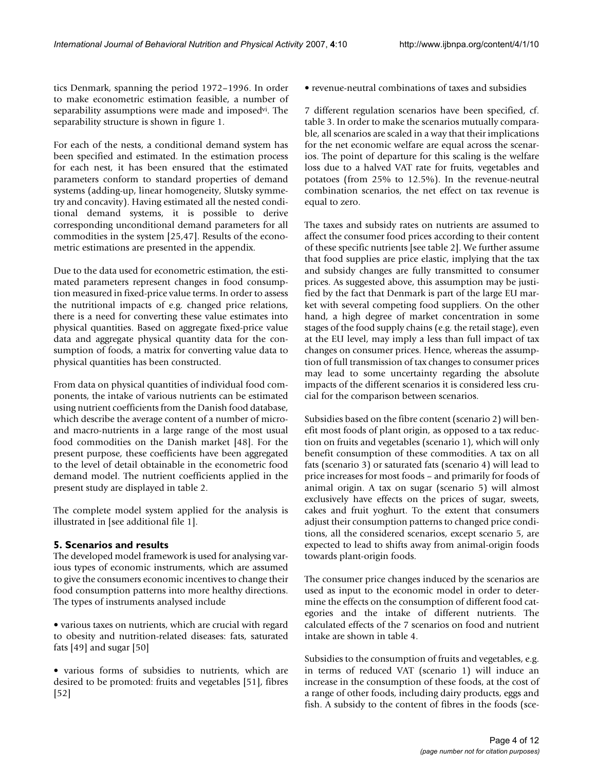tics Denmark, spanning the period 1972–1996. In order to make econometric estimation feasible, a number of separability assumptions were made and imposed<sup>vi</sup>. The separability structure is shown in figure 1.

For each of the nests, a conditional demand system has been specified and estimated. In the estimation process for each nest, it has been ensured that the estimated parameters conform to standard properties of demand systems (adding-up, linear homogeneity, Slutsky symmetry and concavity). Having estimated all the nested conditional demand systems, it is possible to derive corresponding unconditional demand parameters for all commodities in the system [25,47]. Results of the econometric estimations are presented in the appendix.

Due to the data used for econometric estimation, the estimated parameters represent changes in food consumption measured in fixed-price value terms. In order to assess the nutritional impacts of e.g. changed price relations, there is a need for converting these value estimates into physical quantities. Based on aggregate fixed-price value data and aggregate physical quantity data for the consumption of foods, a matrix for converting value data to physical quantities has been constructed.

From data on physical quantities of individual food components, the intake of various nutrients can be estimated using nutrient coefficients from the Danish food database, which describe the average content of a number of microand macro-nutrients in a large range of the most usual food commodities on the Danish market [48]. For the present purpose, these coefficients have been aggregated to the level of detail obtainable in the econometric food demand model. The nutrient coefficients applied in the present study are displayed in table 2.

The complete model system applied for the analysis is illustrated in [see additional file 1].

### **5. Scenarios and results**

The developed model framework is used for analysing various types of economic instruments, which are assumed to give the consumers economic incentives to change their food consumption patterns into more healthy directions. The types of instruments analysed include

• various taxes on nutrients, which are crucial with regard to obesity and nutrition-related diseases: fats, saturated fats [49] and sugar [50]

• various forms of subsidies to nutrients, which are desired to be promoted: fruits and vegetables [51], fibres [52]

• revenue-neutral combinations of taxes and subsidies

7 different regulation scenarios have been specified, cf. table 3. In order to make the scenarios mutually comparable, all scenarios are scaled in a way that their implications for the net economic welfare are equal across the scenarios. The point of departure for this scaling is the welfare loss due to a halved VAT rate for fruits, vegetables and potatoes (from 25% to 12.5%). In the revenue-neutral combination scenarios, the net effect on tax revenue is equal to zero.

The taxes and subsidy rates on nutrients are assumed to affect the consumer food prices according to their content of these specific nutrients [see table 2]. We further assume that food supplies are price elastic, implying that the tax and subsidy changes are fully transmitted to consumer prices. As suggested above, this assumption may be justified by the fact that Denmark is part of the large EU market with several competing food suppliers. On the other hand, a high degree of market concentration in some stages of the food supply chains (e.g. the retail stage), even at the EU level, may imply a less than full impact of tax changes on consumer prices. Hence, whereas the assumption of full transmission of tax changes to consumer prices may lead to some uncertainty regarding the absolute impacts of the different scenarios it is considered less crucial for the comparison between scenarios.

Subsidies based on the fibre content (scenario 2) will benefit most foods of plant origin, as opposed to a tax reduction on fruits and vegetables (scenario 1), which will only benefit consumption of these commodities. A tax on all fats (scenario 3) or saturated fats (scenario 4) will lead to price increases for most foods – and primarily for foods of animal origin. A tax on sugar (scenario 5) will almost exclusively have effects on the prices of sugar, sweets, cakes and fruit yoghurt. To the extent that consumers adjust their consumption patterns to changed price conditions, all the considered scenarios, except scenario 5, are expected to lead to shifts away from animal-origin foods towards plant-origin foods.

The consumer price changes induced by the scenarios are used as input to the economic model in order to determine the effects on the consumption of different food categories and the intake of different nutrients. The calculated effects of the 7 scenarios on food and nutrient intake are shown in table 4.

Subsidies to the consumption of fruits and vegetables, e.g. in terms of reduced VAT (scenario 1) will induce an increase in the consumption of these foods, at the cost of a range of other foods, including dairy products, eggs and fish. A subsidy to the content of fibres in the foods (sce-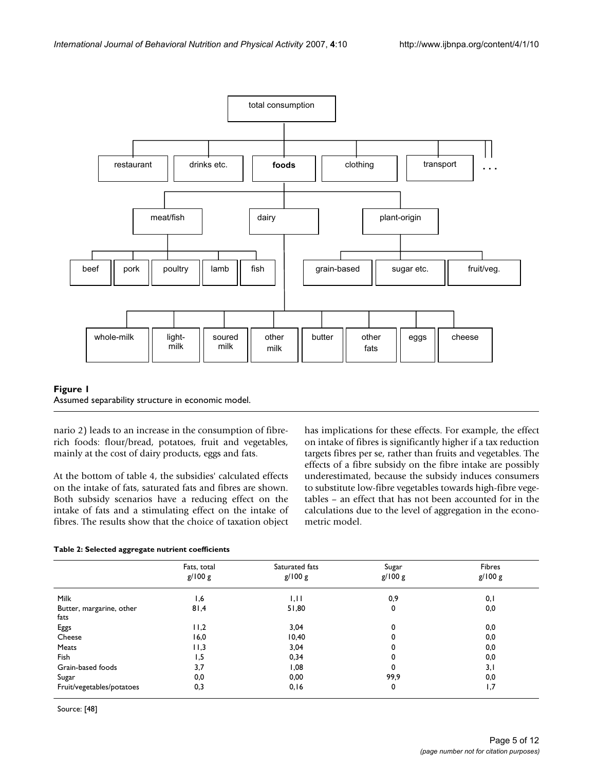

### **Figure 1** Assumed separability structure in economic model.

nario 2) leads to an increase in the consumption of fibrerich foods: flour/bread, potatoes, fruit and vegetables, mainly at the cost of dairy products, eggs and fats.

At the bottom of table 4, the subsidies' calculated effects on the intake of fats, saturated fats and fibres are shown. Both subsidy scenarios have a reducing effect on the intake of fats and a stimulating effect on the intake of fibres. The results show that the choice of taxation object has implications for these effects. For example, the effect on intake of fibres is significantly higher if a tax reduction targets fibres per se, rather than fruits and vegetables. The effects of a fibre subsidy on the fibre intake are possibly underestimated, because the subsidy induces consumers to substitute low-fibre vegetables towards high-fibre vegetables – an effect that has not been accounted for in the calculations due to the level of aggregation in the econometric model.

| Table 2: Selected aggregate nutrient coefficients |  |  |  |  |  |
|---------------------------------------------------|--|--|--|--|--|
|---------------------------------------------------|--|--|--|--|--|

|                           | Fats, total<br>g/100 g | Saturated fats<br>g/100 g | Sugar<br>g/100 g | <b>Fibres</b><br>g/100 g |
|---------------------------|------------------------|---------------------------|------------------|--------------------------|
| Milk                      | 1,6                    | 1,11                      | 0,9              | 0,1                      |
| Butter, margarine, other  | 81,4                   | 51,80                     | 0                | 0,0                      |
| fats                      |                        |                           |                  |                          |
| Eggs                      | 11,2                   | 3,04                      | 0                | 0,0                      |
| Cheese                    | 16,0                   | 10,40                     | 0                | 0,0                      |
| Meats                     | 11,3                   | 3,04                      | 0                | 0,0                      |
| Fish                      | 1,5                    | 0,34                      | 0                | 0,0                      |
| Grain-based foods         | 3,7                    | 80,1                      | 0                | 3,1                      |
| Sugar                     | 0,0                    | 0,00                      | 99,9             | 0,0                      |
| Fruit/vegetables/potatoes | 0,3                    | 0, 16                     | 0                | 1,7                      |

Source: [48]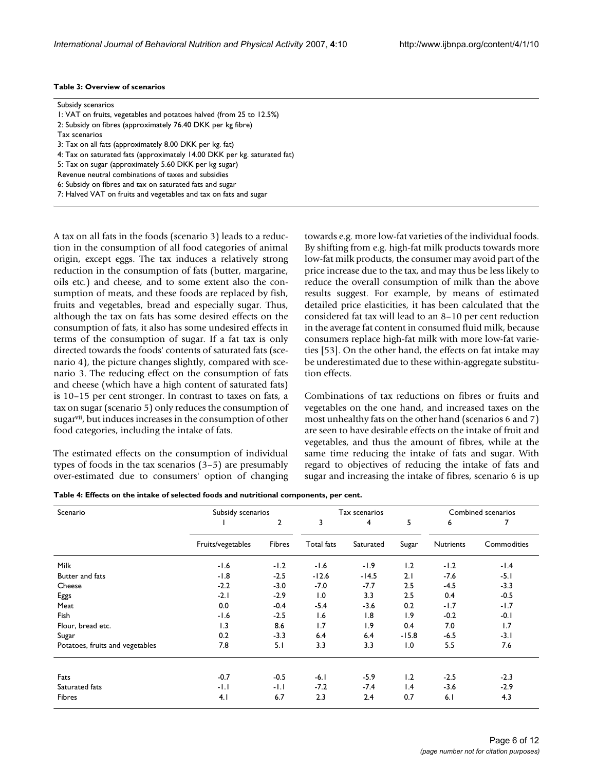#### **Table 3: Overview of scenarios**

| Subsidy scenarios                                                        |
|--------------------------------------------------------------------------|
| I: VAT on fruits, vegetables and potatoes halved (from 25 to 12.5%)      |
| 2: Subsidy on fibres (approximately 76.40 DKK per kg fibre)              |
| Tax scenarios                                                            |
| 3: Tax on all fats (approximately 8.00 DKK per kg. fat)                  |
| 4: Tax on saturated fats (approximately 14.00 DKK per kg. saturated fat) |
| 5: Tax on sugar (approximately 5.60 DKK per kg sugar)                    |
| Revenue neutral combinations of taxes and subsidies                      |
| 6: Subsidy on fibres and tax on saturated fats and sugar                 |
| 7: Halved VAT on fruits and vegetables and tax on fats and sugar         |

A tax on all fats in the foods (scenario 3) leads to a reduction in the consumption of all food categories of animal origin, except eggs. The tax induces a relatively strong reduction in the consumption of fats (butter, margarine, oils etc.) and cheese, and to some extent also the consumption of meats, and these foods are replaced by fish, fruits and vegetables, bread and especially sugar. Thus, although the tax on fats has some desired effects on the consumption of fats, it also has some undesired effects in terms of the consumption of sugar. If a fat tax is only directed towards the foods' contents of saturated fats (scenario 4), the picture changes slightly, compared with scenario 3. The reducing effect on the consumption of fats and cheese (which have a high content of saturated fats) is 10–15 per cent stronger. In contrast to taxes on fats, a tax on sugar (scenario 5) only reduces the consumption of sugarvii, but induces increases in the consumption of other food categories, including the intake of fats.

The estimated effects on the consumption of individual types of foods in the tax scenarios (3–5) are presumably over-estimated due to consumers' option of changing towards e.g. more low-fat varieties of the individual foods. By shifting from e.g. high-fat milk products towards more low-fat milk products, the consumer may avoid part of the price increase due to the tax, and may thus be less likely to reduce the overall consumption of milk than the above results suggest. For example, by means of estimated detailed price elasticities, it has been calculated that the considered fat tax will lead to an 8–10 per cent reduction in the average fat content in consumed fluid milk, because consumers replace high-fat milk with more low-fat varieties [53]. On the other hand, the effects on fat intake may be underestimated due to these within-aggregate substitution effects.

Combinations of tax reductions on fibres or fruits and vegetables on the one hand, and increased taxes on the most unhealthy fats on the other hand (scenarios 6 and 7) are seen to have desirable effects on the intake of fruit and vegetables, and thus the amount of fibres, while at the same time reducing the intake of fats and sugar. With regard to objectives of reducing the intake of fats and sugar and increasing the intake of fibres, scenario 6 is up

| Table 4: Effects on the intake of selected foods and nutritional components, per cent. |  |
|----------------------------------------------------------------------------------------|--|
|----------------------------------------------------------------------------------------|--|

| Scenario                        | Subsidy scenarios |        | Tax scenarios |           |                 | Combined scenarios |             |
|---------------------------------|-------------------|--------|---------------|-----------|-----------------|--------------------|-------------|
|                                 |                   | 2      | 3             | 4         | 5               | 6                  | 7           |
|                                 | Fruits/vegetables | Fibres | Total fats    | Saturated | Sugar           | <b>Nutrients</b>   | Commodities |
| Milk                            | $-1.6$            | $-1.2$ | $-1.6$        | $-1.9$    | 1.2             | $-1.2$             | $-1.4$      |
| Butter and fats                 | $-1.8$            | $-2.5$ | $-12.6$       | $-14.5$   | 2.1             | $-7.6$             | $-5.1$      |
| Cheese                          | $-2.2$            | $-3.0$ | $-7.0$        | -7.7      | 2.5             | $-4.5$             | $-3.3$      |
| Eggs                            | $-2.1$            | $-2.9$ | 1.0           | 3.3       | 2.5             | 0.4                | $-0.5$      |
| Meat                            | 0.0               | $-0.4$ | $-5.4$        | $-3.6$    | 0.2             | $-1.7$             | $-1.7$      |
| Fish                            | $-1.6$            | $-2.5$ | 1.6           | 1.8       | 1.9             | $-0.2$             | $-0.1$      |
| Flour, bread etc.               | 1.3               | 8.6    | 1.7           | 1.9       | 0.4             | 7.0                | 1.7         |
| Sugar                           | 0.2               | $-3.3$ | 6.4           | 6.4       | $-15.8$         | $-6.5$             | $-3.1$      |
| Potatoes, fruits and vegetables | 7.8               | 5.1    | 3.3           | 3.3       | 1.0             | 5.5                | 7.6         |
|                                 |                   |        |               |           |                 |                    |             |
| Fats                            | $-0.7$            | $-0.5$ | $-6.1$        | $-5.9$    | 1.2             | $-2.5$             | $-2.3$      |
| Saturated fats                  | $-1.1$            | $-1.1$ | $-7.2$        | $-7.4$    | $\mathsf{I}$ .4 | $-3.6$             | $-2.9$      |
| Fibres                          | 4.1               | 6.7    | 2.3           | 2.4       | 0.7             | 6.1                | 4.3         |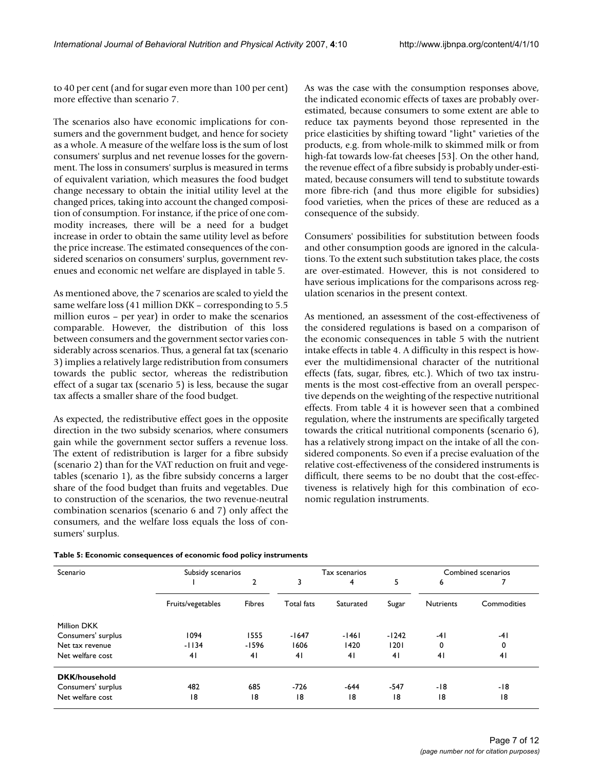to 40 per cent (and for sugar even more than 100 per cent) more effective than scenario 7.

The scenarios also have economic implications for consumers and the government budget, and hence for society as a whole. A measure of the welfare loss is the sum of lost consumers' surplus and net revenue losses for the government. The loss in consumers' surplus is measured in terms of equivalent variation, which measures the food budget change necessary to obtain the initial utility level at the changed prices, taking into account the changed composition of consumption. For instance, if the price of one commodity increases, there will be a need for a budget increase in order to obtain the same utility level as before the price increase. The estimated consequences of the considered scenarios on consumers' surplus, government revenues and economic net welfare are displayed in table 5.

As mentioned above, the 7 scenarios are scaled to yield the same welfare loss (41 million DKK – corresponding to 5.5 million euros – per year) in order to make the scenarios comparable. However, the distribution of this loss between consumers and the government sector varies considerably across scenarios. Thus, a general fat tax (scenario 3) implies a relatively large redistribution from consumers towards the public sector, whereas the redistribution effect of a sugar tax (scenario 5) is less, because the sugar tax affects a smaller share of the food budget.

As expected, the redistributive effect goes in the opposite direction in the two subsidy scenarios, where consumers gain while the government sector suffers a revenue loss. The extent of redistribution is larger for a fibre subsidy (scenario 2) than for the VAT reduction on fruit and vegetables (scenario 1), as the fibre subsidy concerns a larger share of the food budget than fruits and vegetables. Due to construction of the scenarios, the two revenue-neutral combination scenarios (scenario 6 and 7) only affect the consumers, and the welfare loss equals the loss of consumers' surplus.

As was the case with the consumption responses above, the indicated economic effects of taxes are probably overestimated, because consumers to some extent are able to reduce tax payments beyond those represented in the price elasticities by shifting toward "light" varieties of the products, e.g. from whole-milk to skimmed milk or from high-fat towards low-fat cheeses [53]. On the other hand, the revenue effect of a fibre subsidy is probably under-estimated, because consumers will tend to substitute towards more fibre-rich (and thus more eligible for subsidies) food varieties, when the prices of these are reduced as a consequence of the subsidy.

Consumers' possibilities for substitution between foods and other consumption goods are ignored in the calculations. To the extent such substitution takes place, the costs are over-estimated. However, this is not considered to have serious implications for the comparisons across regulation scenarios in the present context.

As mentioned, an assessment of the cost-effectiveness of the considered regulations is based on a comparison of the economic consequences in table 5 with the nutrient intake effects in table 4. A difficulty in this respect is however the multidimensional character of the nutritional effects (fats, sugar, fibres, etc.). Which of two tax instruments is the most cost-effective from an overall perspective depends on the weighting of the respective nutritional effects. From table 4 it is however seen that a combined regulation, where the instruments are specifically targeted towards the critical nutritional components (scenario 6), has a relatively strong impact on the intake of all the considered components. So even if a precise evaluation of the relative cost-effectiveness of the considered instruments is difficult, there seems to be no doubt that the cost-effectiveness is relatively high for this combination of economic regulation instruments.

| Table 5: Economic consequences of economic food policy instruments |  |  |
|--------------------------------------------------------------------|--|--|
|                                                                    |  |  |

| Scenario             | Subsidy scenarios |               |            | Tax scenarios |                |                  | Combined scenarios |
|----------------------|-------------------|---------------|------------|---------------|----------------|------------------|--------------------|
|                      |                   | $\mathbf{2}$  | 3          | 4             | 5              | 6                |                    |
|                      | Fruits/vegetables | <b>Fibres</b> | Total fats | Saturated     | Sugar          | <b>Nutrients</b> | Commodities        |
| Million DKK          |                   |               |            |               |                |                  |                    |
| Consumers' surplus   | 1094              | 1555          | $-1647$    | $-1461$       | $-1242$        | $-41$            | $-41$              |
| Net tax revenue      | $-1134$           | $-1596$       | 1606       | 1420          | 1201           | 0                | 0                  |
| Net welfare cost     | 41                | 41            | 41         | 41            | 4 <sub>1</sub> | 41               | 41                 |
| <b>DKK/household</b> |                   |               |            |               |                |                  |                    |
| Consumers' surplus   | 482               | 685           | $-726$     | $-644$        | $-547$         | $-18$            | $-18$              |
| Net welfare cost     | 18                | 18            | 18         | 18            | 18             | 18               | 18                 |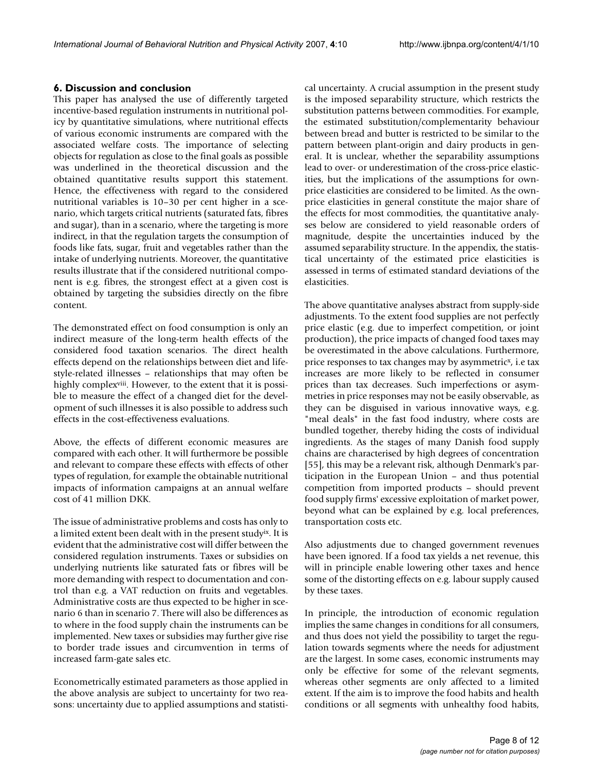### **6. Discussion and conclusion**

This paper has analysed the use of differently targeted incentive-based regulation instruments in nutritional policy by quantitative simulations, where nutritional effects of various economic instruments are compared with the associated welfare costs. The importance of selecting objects for regulation as close to the final goals as possible was underlined in the theoretical discussion and the obtained quantitative results support this statement. Hence, the effectiveness with regard to the considered nutritional variables is 10–30 per cent higher in a scenario, which targets critical nutrients (saturated fats, fibres and sugar), than in a scenario, where the targeting is more indirect, in that the regulation targets the consumption of foods like fats, sugar, fruit and vegetables rather than the intake of underlying nutrients. Moreover, the quantitative results illustrate that if the considered nutritional component is e.g. fibres, the strongest effect at a given cost is obtained by targeting the subsidies directly on the fibre content.

The demonstrated effect on food consumption is only an indirect measure of the long-term health effects of the considered food taxation scenarios. The direct health effects depend on the relationships between diet and lifestyle-related illnesses – relationships that may often be highly complex<sup>viii</sup>. However, to the extent that it is possible to measure the effect of a changed diet for the development of such illnesses it is also possible to address such effects in the cost-effectiveness evaluations.

Above, the effects of different economic measures are compared with each other. It will furthermore be possible and relevant to compare these effects with effects of other types of regulation, for example the obtainable nutritional impacts of information campaigns at an annual welfare cost of 41 million DKK.

The issue of administrative problems and costs has only to a limited extent been dealt with in the present studyix. It is evident that the administrative cost will differ between the considered regulation instruments. Taxes or subsidies on underlying nutrients like saturated fats or fibres will be more demanding with respect to documentation and control than e.g. a VAT reduction on fruits and vegetables. Administrative costs are thus expected to be higher in scenario 6 than in scenario 7. There will also be differences as to where in the food supply chain the instruments can be implemented. New taxes or subsidies may further give rise to border trade issues and circumvention in terms of increased farm-gate sales etc.

Econometrically estimated parameters as those applied in the above analysis are subject to uncertainty for two reasons: uncertainty due to applied assumptions and statistical uncertainty. A crucial assumption in the present study is the imposed separability structure, which restricts the substitution patterns between commodities. For example, the estimated substitution/complementarity behaviour between bread and butter is restricted to be similar to the pattern between plant-origin and dairy products in general. It is unclear, whether the separability assumptions lead to over- or underestimation of the cross-price elasticities, but the implications of the assumptions for ownprice elasticities are considered to be limited. As the ownprice elasticities in general constitute the major share of the effects for most commodities, the quantitative analyses below are considered to yield reasonable orders of magnitude, despite the uncertainties induced by the assumed separability structure. In the appendix, the statistical uncertainty of the estimated price elasticities is assessed in terms of estimated standard deviations of the elasticities.

The above quantitative analyses abstract from supply-side adjustments. To the extent food supplies are not perfectly price elastic (e.g. due to imperfect competition, or joint production), the price impacts of changed food taxes may be overestimated in the above calculations. Furthermore, price responses to tax changes may by asymmetricx, i.e tax increases are more likely to be reflected in consumer prices than tax decreases. Such imperfections or asymmetries in price responses may not be easily observable, as they can be disguised in various innovative ways, e.g. "meal deals" in the fast food industry, where costs are bundled together, thereby hiding the costs of individual ingredients. As the stages of many Danish food supply chains are characterised by high degrees of concentration [55], this may be a relevant risk, although Denmark's participation in the European Union – and thus potential competition from imported products – should prevent food supply firms' excessive exploitation of market power, beyond what can be explained by e.g. local preferences, transportation costs etc.

Also adjustments due to changed government revenues have been ignored. If a food tax yields a net revenue, this will in principle enable lowering other taxes and hence some of the distorting effects on e.g. labour supply caused by these taxes.

In principle, the introduction of economic regulation implies the same changes in conditions for all consumers, and thus does not yield the possibility to target the regulation towards segments where the needs for adjustment are the largest. In some cases, economic instruments may only be effective for some of the relevant segments, whereas other segments are only affected to a limited extent. If the aim is to improve the food habits and health conditions or all segments with unhealthy food habits,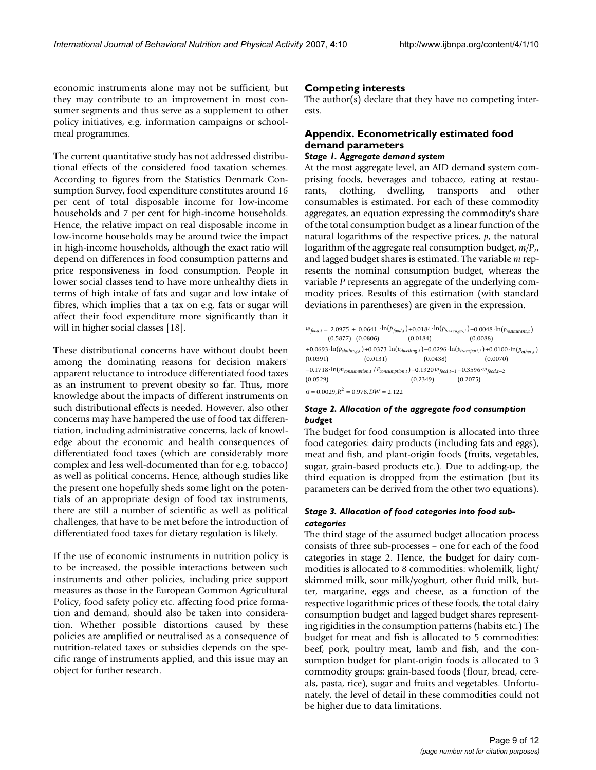economic instruments alone may not be sufficient, but they may contribute to an improvement in most consumer segments and thus serve as a supplement to other policy initiatives, e.g. information campaigns or schoolmeal programmes.

The current quantitative study has not addressed distributional effects of the considered food taxation schemes. According to figures from the Statistics Denmark Consumption Survey, food expenditure constitutes around 16 per cent of total disposable income for low-income households and 7 per cent for high-income households. Hence, the relative impact on real disposable income in low-income households may be around twice the impact in high-income households, although the exact ratio will depend on differences in food consumption patterns and price responsiveness in food consumption. People in lower social classes tend to have more unhealthy diets in terms of high intake of fats and sugar and low intake of fibres, which implies that a tax on e.g. fats or sugar will affect their food expenditure more significantly than it will in higher social classes [18].

These distributional concerns have without doubt been among the dominating reasons for decision makers' apparent reluctance to introduce differentiated food taxes as an instrument to prevent obesity so far. Thus, more knowledge about the impacts of different instruments on such distributional effects is needed. However, also other concerns may have hampered the use of food tax differentiation, including administrative concerns, lack of knowledge about the economic and health consequences of differentiated food taxes (which are considerably more complex and less well-documented than for e.g. tobacco) as well as political concerns. Hence, although studies like the present one hopefully sheds some light on the potentials of an appropriate design of food tax instruments, there are still a number of scientific as well as political challenges, that have to be met before the introduction of differentiated food taxes for dietary regulation is likely.

If the use of economic instruments in nutrition policy is to be increased, the possible interactions between such instruments and other policies, including price support measures as those in the European Common Agricultural Policy, food safety policy etc. affecting food price formation and demand, should also be taken into consideration. Whether possible distortions caused by these policies are amplified or neutralised as a consequence of nutrition-related taxes or subsidies depends on the specific range of instruments applied, and this issue may an object for further research.

### **Competing interests**

The author(s) declare that they have no competing interests.

# **Appendix. Econometrically estimated food demand parameters**

# *Stage 1. Aggregate demand system*

At the most aggregate level, an AID demand system comprising foods, beverages and tobacco, eating at restaurants, clothing, dwelling, transports and other consumables is estimated. For each of these commodity aggregates, an equation expressing the commodity's share of the total consumption budget as a linear function of the natural logarithms of the respective prices, *p*, the natural logarithm of the aggregate real consumption budget, *m/P*,, and lagged budget shares is estimated. The variable *m* represents the nominal consumption budget, whereas the variable *P* represents an aggregate of the underlying commodity prices. Results of this estimation (with standard deviations in parentheses) are given in the expression.

| $w_{food,t} = 2.0975 + 0.0641 \cdot \ln(p_{food,t}) + 0.0184 \cdot \ln(p_{beverages,t}) - 0.0048 \cdot \ln(p_{restaurant,t})$ |                                                                                                              |                                            |          |          |                                                                                                                                            |  |  |  |
|-------------------------------------------------------------------------------------------------------------------------------|--------------------------------------------------------------------------------------------------------------|--------------------------------------------|----------|----------|--------------------------------------------------------------------------------------------------------------------------------------------|--|--|--|
|                                                                                                                               |                                                                                                              | $(0.5877)$ $(0.0806)$                      | (0.0184) | (0.0088) |                                                                                                                                            |  |  |  |
|                                                                                                                               |                                                                                                              |                                            |          |          | $+0.0693 \cdot \ln(p_{clothing,t}) + 0.0373 \cdot \ln(p_{dwelling,t}) - 0.0296 \cdot \ln(p_{transport,t}) + 0.0100 \cdot \ln(p_{other,t})$ |  |  |  |
| (0.0391)                                                                                                                      |                                                                                                              | (0.0131)                                   | (0.0438) |          | (0.0070)                                                                                                                                   |  |  |  |
|                                                                                                                               | $-0.1718 \cdot \ln(m_{consumption, t}/P_{consumption, t}) -0.1920 w_{food, t-1} -0.3596 \cdot w_{food, t-2}$ |                                            |          |          |                                                                                                                                            |  |  |  |
| (0.0529)                                                                                                                      |                                                                                                              |                                            | (0.2349) | (0.2075) |                                                                                                                                            |  |  |  |
|                                                                                                                               |                                                                                                              | $\sigma = 0.0029, R^2 = 0.978, DW = 2.122$ |          |          |                                                                                                                                            |  |  |  |

### *Stage 2. Allocation of the aggregate food consumption budget*

The budget for food consumption is allocated into three food categories: dairy products (including fats and eggs), meat and fish, and plant-origin foods (fruits, vegetables, sugar, grain-based products etc.). Due to adding-up, the third equation is dropped from the estimation (but its parameters can be derived from the other two equations).

### *Stage 3. Allocation of food categories into food subcategories*

The third stage of the assumed budget allocation process consists of three sub-processes – one for each of the food categories in stage 2. Hence, the budget for dairy commodities is allocated to 8 commodities: wholemilk, light/ skimmed milk, sour milk/yoghurt, other fluid milk, butter, margarine, eggs and cheese, as a function of the respective logarithmic prices of these foods, the total dairy consumption budget and lagged budget shares representing rigidities in the consumption patterns (habits etc.) The budget for meat and fish is allocated to 5 commodities: beef, pork, poultry meat, lamb and fish, and the consumption budget for plant-origin foods is allocated to 3 commodity groups: grain-based foods (flour, bread, cereals, pasta, rice), sugar and fruits and vegetables. Unfortunately, the level of detail in these commodities could not be higher due to data limitations.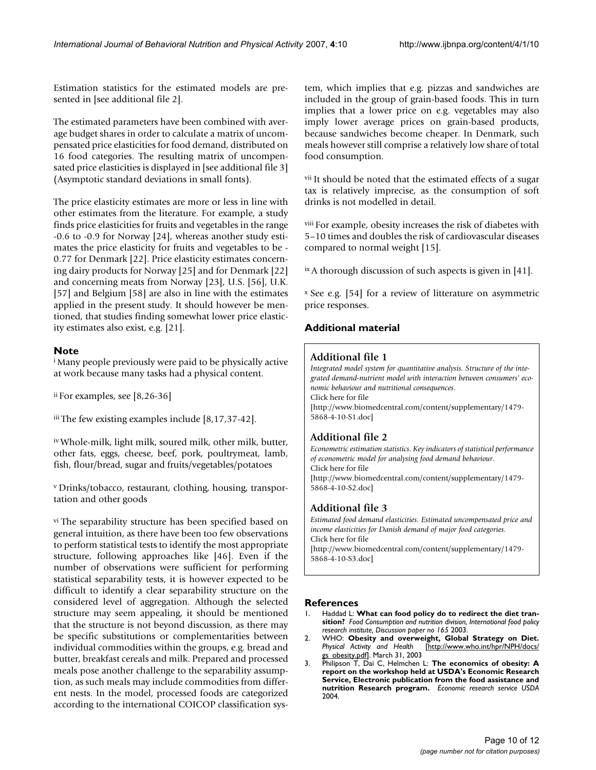Estimation statistics for the estimated models are presented in [see additional file 2].

The estimated parameters have been combined with average budget shares in order to calculate a matrix of uncompensated price elasticities for food demand, distributed on 16 food categories. The resulting matrix of uncompensated price elasticities is displayed in [see additional file 3] (Asymptotic standard deviations in small fonts).

The price elasticity estimates are more or less in line with other estimates from the literature. For example, a study finds price elasticities for fruits and vegetables in the range -0.6 to -0.9 for Norway [24], whereas another study estimates the price elasticity for fruits and vegetables to be - 0.77 for Denmark [22]. Price elasticity estimates concerning dairy products for Norway [25] and for Denmark [22] and concerning meats from Norway [23], U.S. [56], U.K. [57] and Belgium [58] are also in line with the estimates applied in the present study. It should however be mentioned, that studies finding somewhat lower price elasticity estimates also exist, e.g. [21].

### **Note**

i Many people previously were paid to be physically active at work because many tasks had a physical content.

ii For examples, see [8,26-36]

iii The few existing examples include [8,17,37-42].

iv Whole-milk, light milk, soured milk, other milk, butter, other fats, eggs, cheese, beef, pork, poultrymeat, lamb, fish, flour/bread, sugar and fruits/vegetables/potatoes

v Drinks/tobacco, restaurant, clothing, housing, transportation and other goods

vi The separability structure has been specified based on general intuition, as there have been too few observations to perform statistical tests to identify the most appropriate structure, following approaches like [46]. Even if the number of observations were sufficient for performing statistical separability tests, it is however expected to be difficult to identify a clear separability structure on the considered level of aggregation. Although the selected structure may seem appealing, it should be mentioned that the structure is not beyond discussion, as there may be specific substitutions or complementarities between individual commodities within the groups, e.g. bread and butter, breakfast cereals and milk. Prepared and processed meals pose another challenge to the separability assumption, as such meals may include commodities from different nests. In the model, processed foods are categorized according to the international COICOP classification system, which implies that e.g. pizzas and sandwiches are included in the group of grain-based foods. This in turn implies that a lower price on e.g. vegetables may also imply lower average prices on grain-based products, because sandwiches become cheaper. In Denmark, such meals however still comprise a relatively low share of total food consumption.

vii It should be noted that the estimated effects of a sugar tax is relatively imprecise, as the consumption of soft drinks is not modelled in detail.

viii For example, obesity increases the risk of diabetes with 5–10 times and doubles the risk of cardiovascular diseases compared to normal weight [15].

 $i x A$  thorough discussion of such aspects is given in [41].

x See e.g. [54] for a review of litterature on asymmetric price responses.

## **Additional material**

### **Additional file 1**

*Integrated model system for quantitative analysis. Structure of the integrated demand-nutrient model with interaction between consumers' economic behaviour and nutritional consequences.* Click here for file [\[http://www.biomedcentral.com/content/supplementary/1479-](http://www.biomedcentral.com/content/supplementary/1479-5868-4-10-S1.doc) 5868-4-10-S1.doc]

### **Additional file 2**

*Econometric estimation statistics. Key indicators of statistical performance of econometric model for analysing food demand behaviour.* Click here for file [\[http://www.biomedcentral.com/content/supplementary/1479-](http://www.biomedcentral.com/content/supplementary/1479-5868-4-10-S2.doc) 5868-4-10-S2.doc]

### **Additional file 3**

*Estimated food demand elasticities. Estimated uncompensated price and income elasticities for Danish demand of major food categories.* Click here for file [\[http://www.biomedcentral.com/content/supplementary/1479-](http://www.biomedcentral.com/content/supplementary/1479-5868-4-10-S3.doc) 5868-4-10-S3.doc]

### **References**

- 1. Haddad L: **What can food policy do to redirect the diet transition?** *Food Consumption and nutrition division, International food policy research institute, Discussion paper no 165* 2003.
- 2. WHO: **Obesity and overweight, Global Strategy on Diet.** *Physical Activity and Health* [[http://www.who.int/hpr/NPH/docs/](http://www.who.int/hpr/NPH/docs/gs_obesity.pdf) Physical Activity and Health<br>[gs\\_obesity.pdf\]](http://www.who.int/hpr/NPH/docs/gs_obesity.pdf). March 31, 2003
- 3. Philipson T, Dai C, Helmchen L: **The economics of obesity: A report on the workshop held at USDA's Economic Research Service, Electronic publication from the food assistance and nutrition Research program.** *Economic research service USDA* 2004.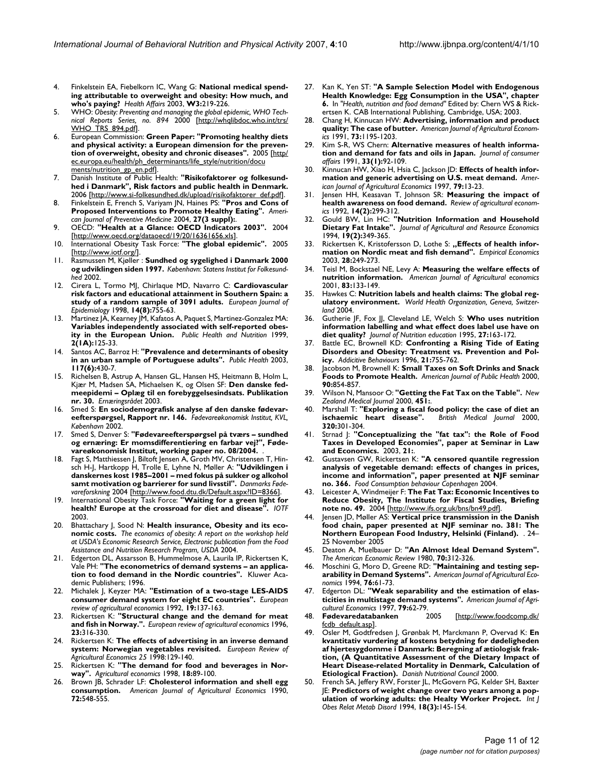- 4. Finkelstein EA, Fiebelkorn IC, Wang G: **National medical spending attributable to overweight and obesity: How much, and who's paying?** *Health Affairs* 2003, **W3:**219-226.
- 5. WHO: *Obesity: Preventing and managing the global epidemic, WHO Technical Reports Series, no. 894* 2000 [[http://whqlibdoc.who.int/trs/](http://whqlibdoc.who.int/trs/WHO_TRS_894.pdf) WHO TRS 894.pdf].
- 6. European Commission: **Green Paper: "Promoting healthy diets and physical activity: a European dimension for the prevention of overweight, obesity and chronic diseases".** 2005 [[http/](http://ec.europa.eu/health/ph_determinants/life_style/nutrition/documents/nutrition_gp_en.pdf) [ec.europa.eu/health/ph\\_determinants/life\\_style/nutrition/docu](http://ec.europa.eu/health/ph_determinants/life_style/nutrition/documents/nutrition_gp_en.pdf) [ments/nutrition\\_gp\\_en.pdf\]](http://ec.europa.eu/health/ph_determinants/life_style/nutrition/documents/nutrition_gp_en.pdf).
- Danish Institute of Public Health: "Risikofaktorer og folkesund**hed i Danmark", Risk factors and public health in Denmark.** 2006 [[http://www.si-folkesundhed.dk/upload/risikofaktorer\\_def.pdf\]](http://www.si-folkesundhed.dk/upload/risikofaktorer_def.pdf).
- 8. Finkelstein E, French S, Variyam JN, Haines PS: **["Pros and Cons of](http://www.ncbi.nlm.nih.gov/entrez/query.fcgi?cmd=Retrieve&db=PubMed&dopt=Abstract&list_uids=15450627) [Proposed Interventions to Promote Healthy Eating".](http://www.ncbi.nlm.nih.gov/entrez/query.fcgi?cmd=Retrieve&db=PubMed&dopt=Abstract&list_uids=15450627)** *American Journal of Preventive Medicine* 2004, **27(3 suppl):**.
- 9. OECD: **"Health at a Glance: OECD Indicators 2003".** 2004 [[http://www.oecd.org/dataoecd/19/20/16361656.xls\]](http://www.oecd.org/dataoecd/19/20/16361656.xls).
- 10. International Obesity Task Force: **"The global epidemic".** 2005 [<http://www.iotf.org/>].
- 11. Rasmussen M, Kjøller : **Sundhed og sygelighed i Danmark 2000 og udviklingen siden 1997.** *København: Statens Institut for Folkesundhed* 2002.
- 12. Cirera L, Tormo MJ, Chirlaque MD, Navarro C: **[Cardiovascular](http://www.ncbi.nlm.nih.gov/entrez/query.fcgi?cmd=Retrieve&db=PubMed&dopt=Abstract&list_uids=9928869) [risk factors and educational attainment in Southern Spain: a](http://www.ncbi.nlm.nih.gov/entrez/query.fcgi?cmd=Retrieve&db=PubMed&dopt=Abstract&list_uids=9928869) [study of a random sample of 3091 adults.](http://www.ncbi.nlm.nih.gov/entrez/query.fcgi?cmd=Retrieve&db=PubMed&dopt=Abstract&list_uids=9928869)** *European Journal of Epidemiology* 1998, **14(8):**755-63.
- 13. Martinez JA, Kearney JM, Kafatos A, Paquet S, Martinez-Gonzalez MA: **Variables independently associated with self-reported obesity in the European Union.** *Public Health and Nutrition* 1999, **2(1A):**125-33.
- 14. Santos AC, Barroz H: **["Prevalence and determinants of obesity](http://www.ncbi.nlm.nih.gov/entrez/query.fcgi?cmd=Retrieve&db=PubMed&dopt=Abstract&list_uids=14522159) [in an urban sample of Portuguese adults".](http://www.ncbi.nlm.nih.gov/entrez/query.fcgi?cmd=Retrieve&db=PubMed&dopt=Abstract&list_uids=14522159)** *Public Health* 2003, **117(6):**430-7.
- 15. Richelsen B, Astrup A, Hansen GL, Hansen HS, Heitmann B, Holm L, Kjær M, Madsen SA, Michaelsen K, og Olsen SF: **Den danske fedmeepidemi – Oplæg til en forebyggelsesindsats. Publikation nr. 30.** *Ernæringsrådet* 2003.
- 16. Smed S: **En sociodemografisk analyse af den danske fødevareefterspørgsel, Rapport nr. 146.** *Fødevareøkonomisk Institut, KVL, København* 2002.
- 17. Smed S, Denver S: **"Fødevareefterspørgsel på tværs sundhed og ernæring: Er momsdifferentiering en farbar vej?", Fødevareøkonomisk Institut, working paper no. 08/2004.** .
- 18. Fagt S, Matthiessen J, Biltoft Jensen A, Groth MV, Christensen T, Hinsch H-J, Hartkopp H, Trolle E, Lyhne N, Møller A: **"Udviklingen i danskernes kost 1985–2001 – med fokus på sukker og alkohol samt motivation og barrierer for sund livsstil".** *Danmarks Fødevareforskning* 2004 [\[http://www.food.dtu.dk/Default.aspx?ID=8366](http://www.food.dtu.dk/Default.aspx?ID=8366)].
- 19. International Obesity Task Force: **"Waiting for a green light for health? Europe at the crossroad for diet and disease".** *IOTF* 2003.
- Bhattachary J, Sood N: Health insurance, Obesity and its eco**nomic costs.** *The economics of obesity: A report on the workshop held at USDA's Economic Research Service, Electronic publication from the Food Assistance and Nutrition Research Program, USDA* 2004.
- 21. Edgerton DL, Assarsson B, Hummelmose A, Laurila IP, Rickertsen K, Vale PH: **"The econometrics of demand systems – an application to food demand in the Nordic countries".** Kluwer Academic Publishers; 1996.
- 22. Michalek J, Keyzer MA: **"Estimation of a two-stage LES-AIDS consumer demand system for eight EC countries".** *European review of agricultural economics* 1992, **19:**137-163.
- 23. Rickertsen K: **"Structural change and the demand for meat and fish in Norway.".** *European review of agricultural economics* 1996, **23:**316-330.
- 24. Rickertsen K: **The effects of advertising in an inverse demand system: Norwegian vegetables revisited.** *European Review of Agricultural Economics 25* 1998:129-140.
- 25. Rickertsen K: **"The demand for food and beverages in Norway".** *Agricultural economics* 1998, **18:**89-100.
- 26. Brown JB, Schrader LF: **Cholesterol information and shell egg consumption.** *American Journal of Agricultural Economics* 1990, **72:**548-555.
- 27. Kan K, Yen ST: **"A Sample Selection Model with Endogenous Health Knowledge: Egg Consumption in the USA", chapter 6.** In *"Health, nutrition and food demand"* Edited by: Chern WS & Rickertsen K. CAB International Publishing, Cambridge, USA; 2003.
- 28. Chang H, Kinnucan HW: **Advertising, information and product quality: The case of butter.** *American Journal of Agricultural Economics* 1991, **73:**1195-1203.
- 29. Kim S-R, WS Chern: **Alternative measures of health information and demand for fats and oils in Japan.** *Journal of consumer affairs* 1991, **33(1):**92-109.
- 30. Kinnucan HW, Xiao H, Hsia C, Jackson JD: **Effects of health information and generic advertising on U.S. meat demand.** *American Journal of Agricultural Economics* 1997, **79:**13-23.
- 31. Jensen HH, Keasavan T, Johnson SR: **Measuring the impact of health awareness on food demand.** *Review of agricultural economics* 1992, **14(2):**299-312.
- 32. Gould BW, Lin HC: **"Nutrition Information and Household Dietary Fat Intake".** *Journal of Agricultural and Resource Economics* 1994, **19(2):**349-365.
- 33. Rickertsen K, Kristofersson D, Lothe S: "Effects of health infor**mation on Nordic meat and fish demand".** *Empirical Economics* 2003, **28:**249-273.
- 34. Teisl M, Bockstael NE, Levy A: **Measuring the welfare effects of nutrition information.** *American Journal of Agricultural economics* 2001, **83:**133-149.
- 35. Hawkes C: **Nutrition labels and health claims: The global regulatory environment.** *World Health Organization, Geneva, Switzerland* 2004.
- 36. Gutherie JF, Fox JJ, Cleveland LE, Welch S: **Who uses nutrition information labelling and what effect does label use have on diet quality?** *Journal of Nutrition education* 1995, **27:**163-172.
- 37. Battle EC, Brownell KD: **Confronting a Rising Tide of Eating Disorders and Obesity: Treatment vs. Prevention and Policy.** *Addicitive Behaviours* 1996, **21:**755-762.
- 38. Jacobson M, Brownell K: **[Small Taxes on Soft Drinks and Snack](http://www.ncbi.nlm.nih.gov/entrez/query.fcgi?cmd=Retrieve&db=PubMed&dopt=Abstract&list_uids=10846500) [Foods to Promote Health.](http://www.ncbi.nlm.nih.gov/entrez/query.fcgi?cmd=Retrieve&db=PubMed&dopt=Abstract&list_uids=10846500)** *American Journal of Public Health* 2000, **90:**854-857.
- 39. Wilson N, Mansoor O: **"Getting the Fat Tax on the Table".** *New Zealand Medical Journal* 2000, **451:**.
- Marshall T: **["Exploring a fiscal food policy: the case of diet an](http://www.ncbi.nlm.nih.gov/entrez/query.fcgi?cmd=Retrieve&db=PubMed&dopt=Abstract&list_uids=10650031) ischaemic** heart disease". British Medical Journal 2000, [ischaemic heart disease".](http://www.ncbi.nlm.nih.gov/entrez/query.fcgi?cmd=Retrieve&db=PubMed&dopt=Abstract&list_uids=10650031) **320:**301-304.
- 41. Strnad J: **"Conceptualizing the "fat tax": the Role of Food Taxes in Developed Economies", paper at Seminar in Law and Economics.** 2003, **21:**.
- 42. Gustavsen GW, Rickertsen K: **"A censored quantile regression analysis of vegetable demand: effects of changes in prices, income and information", paper presented at NJF seminar no. 366.** *Food Consumption behaviour Copenhagen* 2004.
- 43. Leicester A, Windmeijer F: **The Fat Tax: Economic Incentives to Reduce Obesity, The Institute for Fiscal Studies, Briefing note no. 49.** 2004 [[http://www.ifs.org.uk/bns/bn49.pdf\]](http://www.ifs.org.uk/bns/bn49.pdf).
- 44. Jensen JD, Møller AS: **Vertical price transmission in the Danish food chain, paper presented at NJF seminar no. 381: The Northern European Food Industry, Helsinki (Finland).** . 24– 25 November 2005
- 45. Deaton A, Muelbauer D: **"An Almost Ideal Demand System".** *The American Economic Review* 1980, **70:**312-326.
- 46. Moschini G, Moro D, Greene RD: **"Maintaining and testing separability in Demand Systems".** *American Journal of Agricultural Economics* 1994, **76:**61-73.
- 47. Edgerton DL: **"Weak separability and the estimation of elasticities in multistage demand systems".** *American Journal of Agricultural Economics* 1997, **79:**62-79.
- 48. **Fødevaredatabanken** 2005 [[http://www.foodcomp.dk/](http://www.foodcomp.dk/fcdb_default.asp) [fcdb\\_default.asp\]](http://www.foodcomp.dk/fcdb_default.asp).
- 49. Osler M, Godtfredsen J, Grønbak M, Marckmann P, Overvad K: **En kvantitativ vurdering af kostens betydning for dødeligheden af hjertesygdomme i Danmark: Beregning af ætiologisk fraktion, (A Quantitative Assessment of the Dietary Impact of Heart Disease-related Mortality in Denmark, Calculation of Etiological Fraction).** *Danish Nutritional Council* 2000.
- French SA, Jeffery RW, Forster JL, McGovern PG, Kelder SH, Baxter JE: **[Predictors of weight change over two years among a pop](http://www.ncbi.nlm.nih.gov/entrez/query.fcgi?cmd=Retrieve&db=PubMed&dopt=Abstract&list_uids=8186811)[ulation of working adults: the Healty Worker Project.](http://www.ncbi.nlm.nih.gov/entrez/query.fcgi?cmd=Retrieve&db=PubMed&dopt=Abstract&list_uids=8186811)** *Int J Obes Relat Metab Disord* 1994, **18(3):**145-154.